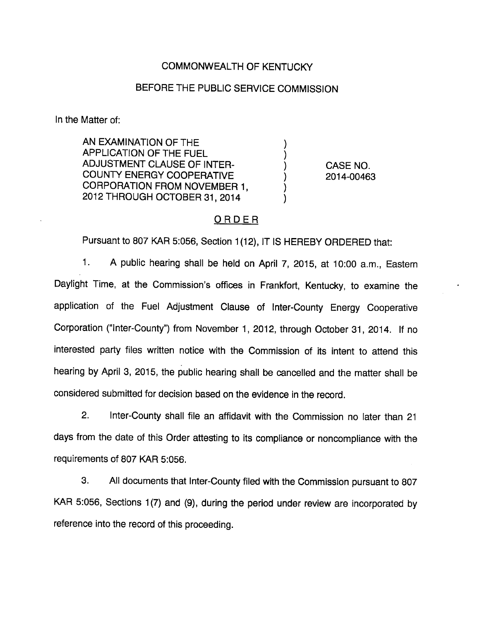## COMMONWEALTH OF KENTUCKY

## BEFORE THE PUBLIC SERVICE COMMISSION

In the Matter of:

AN EXAMINATION OF THE APPLICATION OF THE FUEL ADJUSTMENT CLAUSE OF INTER-COUNTY ENERGY COOPERATIVE CORPORATION FROM NOVEMBER 1, 2012 THROUGH OCTOBER 31, 2014

CASE NO. 2014-00463

### ORDER

Pursuant to 807 KAR 5:056, Section 1(12), IT IS HEREBY ORDERED that:

1. A public hearing shall be held on April 7, 2015, at 10:00 a.m., Eastem Daylight Time, at the Commission's offices in Frankfort, Kentucky, to examine the application of the Fuel Adjustment Clause of Inter-County Energy Cooperative Corporation ("Inter-County") from November 1, 2012, through October 31, 2014. If no interested party files written notice with the Commission of its intent to attend this hearing by April 3, 2015, the public hearing shall be cancelled and the matter shall be considered submitted for decision based on the evidence in the record.

2. Inter-County shall file an affidavit with the Commission no iater than 21 days from the date of this Order attesting to its compliance or noncompliance with the requirements of 807 KAR 5:056.

3. All documents that Inter-County filed with the Commission pursuant to 807 KAR 5:056, Sections 1(7) and (9), during the period under review are incorporated by reference into the record of this proceeding.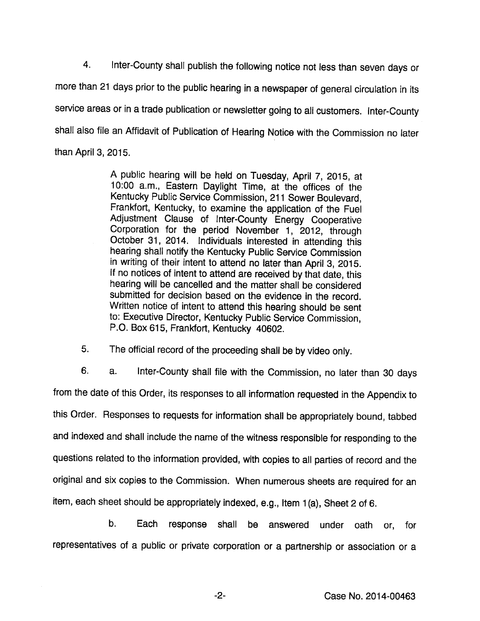4. Inter-County shall publish the following notice not less than seven days or more than 21 days prior to the public hearing in a newspaper of general circulation in its service areas or in a trade publication or newsletter going to all customers. Inter-County shall also file an Affidavit of Publication of Hearing Notice with the Commission no later than April 3, 2015.

> A public hearing will be held on Tuesday, April 7, 2015, at 10:00 a.m.. Eastern Daylight Time, at the offices of the Kentucky Public Service Commission, 211 Sower Boulevard, Frankfort, Kentucky, to examine the application of the Fuel Adjustment Clause of Inter-County Energy Cooperative Corporation for the period November 1, 2012, through October 31, 2014. Individuals interested in attending this hearing shall notify the Kentucky Public Service Commission in writing of their intent to attend no later than April 3, 2015. If no notices of intent to attend are received by that date, this hearing will be cancelled and the matter shall be considered submitted for decision based on the evidence in the record. Written notice of intent to attend this hearing should be sent to: Executive Director, Kentucky Public Service Commission, P.O. Box 615, Frankfort, Kentucky 40602.

5. The official record of the proceeding shall be by video only.

6. a. Inter-County shall file with the Commission, no later than 30 days from the date of this Order, its responses to all information requested in the Appendix to this Order. Responses to requests for information shall be appropriately bound, tabbed and indexed and shall include the name of the witness responsible for responding to the questions related to the information provided, with copies to all parties of record and the original and six copies to the Commission. When numerous sheets are required for an item, each sheet should be appropriately indexed, e.g., Item 1(a), Sheet 2 of 6.

b. Each response shall be answered under oath or, for representatives of a public or private corporation or a partnership or association or a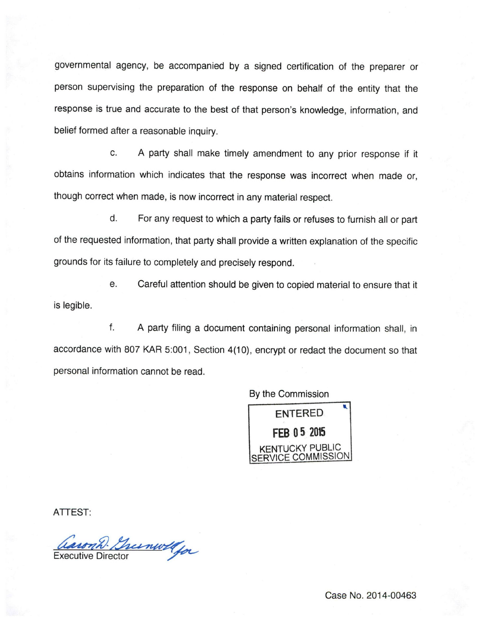governmental agency, be accompanied by a signed certification of the preparer or person supervising the preparation of the response on behalf of the entity that the response is true and accurate to the best of that person's knowledge, information, and belief formed after a reasonable inquiry.

c. A party shall make timely amendment to any prior response if it obtains information which indicates that the response was incorrect when made or, though correct when made, is now incorrect in any material respect.

d. For any request to which a party fails or refuses to furnish all or part of the requested information, that party shall provide a written explanation of the specific grounds for its failure to completely and precisely respond.

e. Careful attention should be given to copied material to ensure that it is legible.

f. A party filing a document containing personal information shall, in accordance with 807 KAR 5:001, Section 4(10), encrypt or redact the document so that personal information cannot be read.

By the Commission



ATTEST:

Caron D. Greenwell for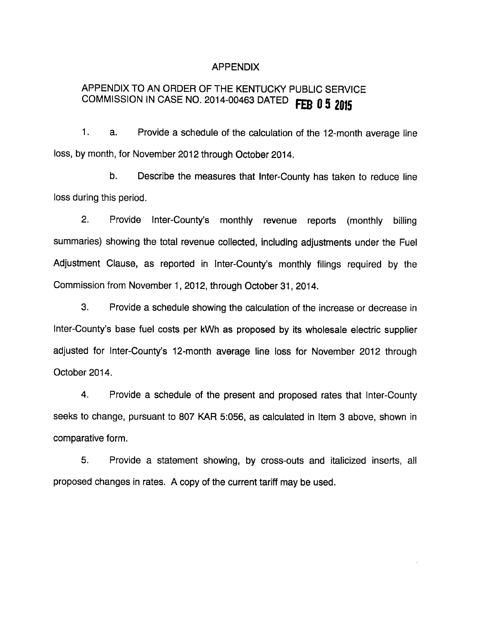#### APPENDIX

# APPENDIX TO AN ORDER OF THE KENTUCKY PUBLIC SERVICE COMMISSION IN CASE NO. 2014-00463 DATED FEB 0 5 2015

1. a. Provide a schedule of the calculation of the 12-month average line loss, by month, for November 2012 through October 2014.

b. Describe the measures that Inter-County has taken to reduce line loss during this period.

2. Provide Inter-County's monthly revenue reports (monthly billing summaries) showing the total revenue collected, including adjustments under the Fuel Adjustment Clause, as reported in Inter-County's monthly filings required by the Commission from November 1, 2012, through October 31, 2014.

3. Provide a schedule showing the calculation of the increase or decrease in Inter-County's base fuel costs per kWh as proposed by its wholesale electric supplier adjusted for Inter-County's 12-month average line loss for November 2012 through October 2014.

4. Provide a schedule of the present and proposed rates that Inter-County seeks to change, pursuant to 807 KAR 5:056, as calculated in Item 3 above, shown in comparative form.

5. Provide a statement showing, by cross-outs and italicized inserts, all proposed changes in rates. A copy of the current tariff may be used.